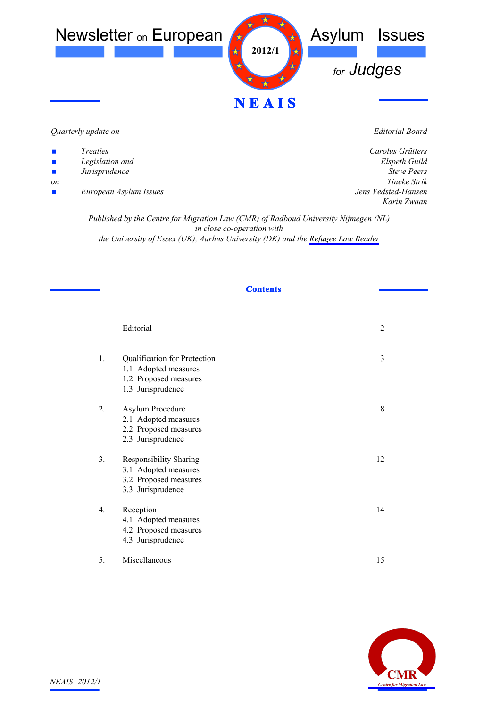

## *Quarterly update on*

- *Treaties*
- *Legislation and*
- *Jurisprudence*
- *on*
- *European Asylum Issues*

*Editorial Board*

*Carolus Grütters Elspeth Guild Steve Peers Tineke Strik Jens Vedsted-Hansen Karin Zwaan*

*Published by the Centre for Migration Law (CMR) of Radboud University Nijmegen (NL) in close co-operation with the University of Essex (UK), Aarhus University (DK) and the [Refugee Law Reader](http://www.refugeelawreader.org)*

# **Contents**

|             | Editorial                                                                                           | $\overline{2}$ |
|-------------|-----------------------------------------------------------------------------------------------------|----------------|
| 1.          | Qualification for Protection<br>1.1 Adopted measures<br>1.2 Proposed measures<br>1.3 Jurisprudence  | 3              |
| 2.          | Asylum Procedure<br>2.1 Adopted measures<br>2.2 Proposed measures<br>2.3 Jurisprudence              | 8              |
| 3.          | <b>Responsibility Sharing</b><br>3.1 Adopted measures<br>3.2 Proposed measures<br>3.3 Jurisprudence | 12             |
| $4_{\cdot}$ | Reception<br>4.1 Adopted measures<br>4.2 Proposed measures<br>4.3 Jurisprudence                     | 14             |
| 5.          | Miscellaneous                                                                                       | 15             |

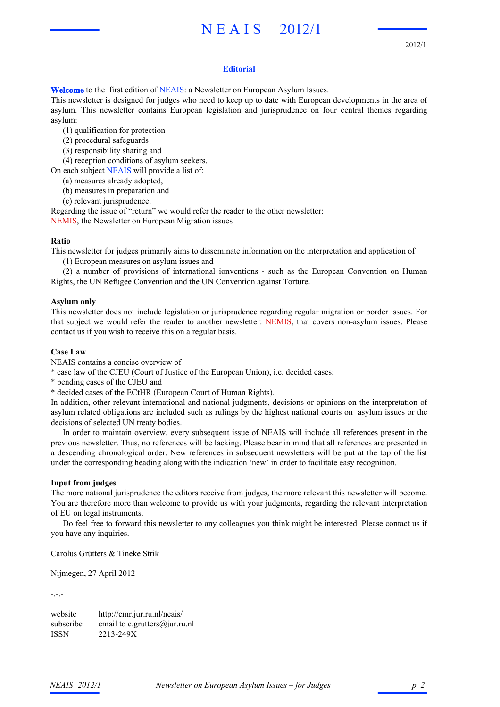# N E A I S 2012/1

# **Editorial**

**Welcome** to the first edition of NEAIS: a Newsletter on European Asylum Issues.

This newsletter is designed for judges who need to keep up to date with European developments in the area of asylum. This newsletter contains European legislation and jurisprudence on four central themes regarding asylum:

(1) qualification for protection

- (2) procedural safeguards
- (3) responsibility sharing and

(4) reception conditions of asylum seekers.

On each subject NEAIS will provide a list of:

(a) measures already adopted,

(b) measures in preparation and

(c) relevant jurisprudence.

Regarding the issue of "return" we would refer the reader to the other newsletter:

NEMIS, the Newsletter on European Migration issues

#### **Ratio**

This newsletter for judges primarily aims to disseminate information on the interpretation and application of

(1) European measures on asylum issues and

(2) a number of provisions of international ionventions - such as the European Convention on Human Rights, the UN Refugee Convention and the UN Convention against Torture.

#### **Asylum only**

This newsletter does not include legislation or jurisprudence regarding regular migration or border issues. For that subject we would refer the reader to another newsletter: NEMIS, that covers non-asylum issues. Please contact us if you wish to receive this on a regular basis.

#### **Case Law**

NEAIS contains a concise overview of

\* case law of the CJEU (Court of Justice of the European Union), i.e. decided cases;

\* pending cases of the CJEU and

\* decided cases of the ECtHR (European Court of Human Rights).

In addition, other relevant international and national judgments, decisions or opinions on the interpretation of asylum related obligations are included such as rulings by the highest national courts on asylum issues or the decisions of selected UN treaty bodies.

In order to maintain overview, every subsequent issue of NEAIS will include all references present in the previous newsletter. Thus, no references will be lacking. Please bear in mind that all references are presented in a descending chronological order. New references in subsequent newsletters will be put at the top of the list under the corresponding heading along with the indication 'new' in order to facilitate easy recognition.

## **Input from judges**

The more national jurisprudence the editors receive from judges, the more relevant this newsletter will become. You are therefore more than welcome to provide us with your judgments, regarding the relevant interpretation of EU on legal instruments.

Do feel free to forward this newsletter to any colleagues you think might be interested. Please contact us if you have any inquiries.

Carolus Grütters & Tineke Strik

Nijmegen, 27 April 2012

-.-.-

website http://cmr.jur.ru.nl/neais/ subscribe email to c.grutters@jur.ru.nl ISSN 2213-249X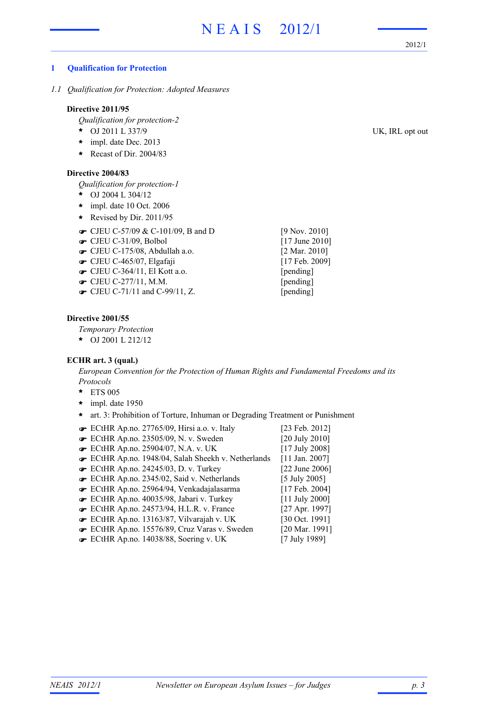2012/1

# **1 Qualification for Protection**

*1.1 Qualification for Protection: Adopted Measures*

## **Directive 2011/95**

*Qualification for protection-2*

- OJ 2011 L 337/9 UK, IRL opt out **\***
- impl. date Dec. 2013 **\***
- **\*** Recast of Dir. 2004/83

#### **Directive 2004/83**

*Qualification for protection-1*

- OJ 2004 L 304/12 **\***
- impl. date 10 Oct. 2006 **\***
- **\*** Revised by Dir. 2011/95
- $\bullet$  CJEU C-57/09 & C-101/09, B and D [9 Nov. 2010]
- **■** CJEU C-31/09, Bolbol [17 June 2010]
- CJEU C-175/08, Abdullah a.o. [2 Mar. 2010] !
- **•** CJEU C-465/07, Elgafaji [17 Feb. 2009]
- CJEU C-364/11, El Kott a.o. [pending] !
- **The CJEU C-277/11, M.M.** [pending]
- $\bullet$  CJEU C-71/11 and C-99/11, Z. [pending]

#### **Directive 2001/55**

*Temporary Protection*

OJ 2001 L 212/12 **\***

# **ECHR art. 3 (qual.)**

*European Convention for the Protection of Human Rights and Fundamental Freedoms and its Protocols*

- ETS 005 **\***
- impl. date 1950 **\***
- **\*** art. 3: Prohibition of Torture, Inhuman or Degrading Treatment or Punishment
- ECtHR Ap.no. 27765/09, Hirsi a.o. v. Italy [23 Feb. 2012] ! ECtHR Ap.no. 23505/09, N. v. Sweden [20 July 2010] ! **■** ECtHR Ap.no. 25904/07, N.A. v. UK [17 July 2008] ECtHR Ap.no. 1948/04, Salah Sheekh v. Netherlands [11 Jan. 2007] ! ECtHR Ap.no. 24245/03, D. v. Turkey [22 June 2006] ! ECtHR Ap.no. 2345/02, Said v. Netherlands [5 July 2005] ! ECtHR Ap.no. 25964/94, Venkadajalasarma [17 Feb. 2004] ! ECtHR Ap.no. 40035/98, Jabari v. Turkey [11 July 2000] ! ECtHR Ap.no. 24573/94, H.L.R. v. France [27 Apr. 1997] ! ECtHR Ap.no. 13163/87, Vilvarajah v. UK [30 Oct. 1991] ! ECtHR Ap.no. 15576/89, Cruz Varas v. Sweden [20 Mar. 1991] ! ECtHR Ap.no. 14038/88, Soering v. UK [7 July 1989] !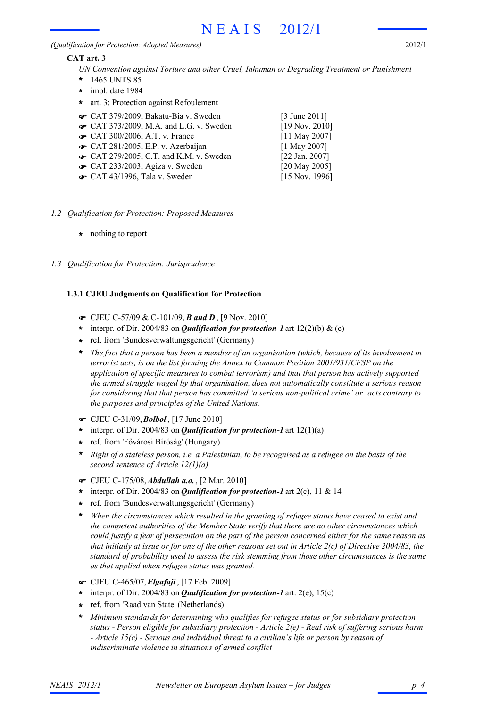#### *(Qualification for Protection: Adopted Measures)*

2012/1

# **CAT art. 3**

- *UN Convention against Torture and other Cruel, Inhuman or Degrading Treatment or Punishment*
- 1465 UNTS 85 **\***
- impl. date 1984 **\***
- **\*** art. 3: Protection against Refoulement
- **■** CAT 379/2009, Bakatu-Bia v. Sweden [3 June 2011]
- $\bullet$  CAT 373/2009, M.A. and L.G. v. Sweden [19 Nov. 2010]
- CAT 300/2006, A.T. v. France [11 May 2007]
- $\bullet$  CAT 281/2005, E.P. v. Azerbaijan [1 May 2007]
- $\bullet$  CAT 279/2005, C.T. and K.M. v. Sweden [22 Jan. 2007]
- $\bullet$  CAT 233/2003, Agiza v. Sweden [20 May 2005]
- **■** CAT 43/1996, Tala v. Sweden [15 Nov. 1996]

- *1.2 Qualification for Protection: Proposed Measures*
	- **\*** nothing to report
- *1.3 Qualification for Protection: Jurisprudence*

# **1.3.1 CJEU Judgments on Qualification for Protection**

- ! CJEU C-57/09 & C-101/09, *B and D* , [9 Nov. 2010]
- \* interpr. of Dir. 2004/83 on *Qualification for protection-1* art 12(2)(b) & (c)
- ref. from 'Bundesverwaltungsgericht' (Germany) **\***
- *The fact that a person has been a member of an organisation (which, because of its involvement in terrorist acts, is on the list forming the Annex to Common Position 2001/931/CFSP on the application of specific measures to combat terrorism) and that that person has actively supported the armed struggle waged by that organisation, does not automatically constitute a serious reason for considering that that person has committed 'a serious non-political crime' or 'acts contrary to the purposes and principles of the United Nations.* **\***
- ! CJEU C-31/09,*Bolbol* , [17 June 2010]
- \* interpr. of Dir. 2004/83 on *Qualification for protection-1* art  $12(1)(a)$
- ref. from 'Fővárosi Bíróság' (Hungary) **\***
- *Right of a stateless person, i.e. a Palestinian, to be recognised as a refugee on the basis of the* **\*** *second sentence of Article 12(1)(a)*
- ! CJEU C-175/08,*Abdullah a.o.*, [2 Mar. 2010]
- \* interpr. of Dir. 2004/83 on *Qualification for protection-1* art 2(c), 11 & 14
- ref. from 'Bundesverwaltungsgericht' (Germany) **\***
- *When the circumstances which resulted in the granting of refugee status have ceased to exist and the competent authorities of the Member State verify that there are no other circumstances which could justify a fear of persecution on the part of the person concerned either for the same reason as that initially at issue or for one of the other reasons set out in Article 2(c) of Directive 2004/83, the standard of probability used to assess the risk stemming from those other circumstances is the same as that applied when refugee status was granted.* **\***
- ! CJEU C-465/07,*Elgafaji* , [17 Feb. 2009]
- \* interpr. of Dir. 2004/83 on *Qualification for protection-1* art. 2(e), 15(c)
- ref. from 'Raad van State' (Netherlands) **\***
- *Minimum standards for determining who qualifies for refugee status or for subsidiary protection status - Person eligible for subsidiary protection - Article 2(e) - Real risk of suffering serious harm - Article 15(c) - Serious and individual threat to a civilian's life or person by reason of indiscriminate violence in situations of armed conflict* **\***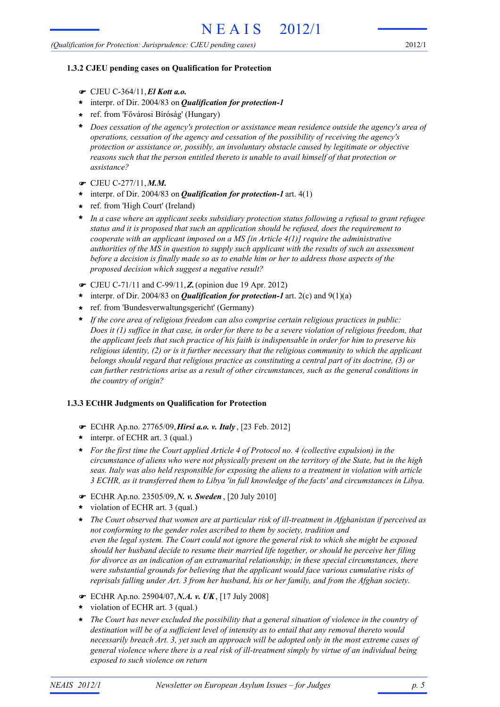# **1.3.2 CJEU pending cases on Qualification for Protection**

- ! CJEU C-364/11,*El Kott a.o.*
- interpr. of Dir. 2004/83 on *Qualification for protection-1* **\***
- ref. from 'Fővárosi Bíróság' (Hungary) **\***
- *Does cessation of the agency's protection or assistance mean residence outside the agency's area of operations, cessation of the agency and cessation of the possibility of receiving the agency's protection or assistance or, possibly, an involuntary obstacle caused by legitimate or objective reasons such that the person entitled thereto is unable to avail himself of that protection or assistance?* **\***
- ! CJEU C-277/11,*M.M.*
- \* interpr. of Dir. 2004/83 on **Qualification for protection-1** art. 4(1)
- ref. from 'High Court' (Ireland) **\***
- *In a case where an applicant seeks subsidiary protection status following a refusal to grant refugee* **\*** *status and it is proposed that such an application should be refused, does the requirement to cooperate with an applicant imposed on a MS [in Article 4(1)] require the administrative authorities of the MS in question to supply such applicant with the results of such an assessment before a decision is finally made so as to enable him or her to address those aspects of the proposed decision which suggest a negative result?*
- ! CJEU C-71/11 and C-99/11,*Z.*(opinion due 19 Apr. 2012)
- \* interpr. of Dir. 2004/83 on *Qualification for protection-1* art. 2(c) and 9(1)(a)
- ref. from 'Bundesverwaltungsgericht' (Germany) **\***
- *If the core area of religious freedom can also comprise certain religious practices in public: Does it (1) suffice in that case, in order for there to be a severe violation of religious freedom, that the applicant feels that such practice of his faith is indispensable in order for him to preserve his religious identity, (2) or is it further necessary that the religious community to which the applicant belongs should regard that religious practice as constituting a central part of its doctrine, (3) or can further restrictions arise as a result of other circumstances, such as the general conditions in the country of origin?* **\***

#### **1.3.3 ECtHR Judgments on Qualification for Protection**

- ! ECtHR Ap.no. 27765/09,*Hirsi a.o. v. Italy* , [23 Feb. 2012]
- interpr. of ECHR art. 3 (qual.) **\***
- *For the first time the Court applied Article 4 of Protocol no. 4 (collective expulsion) in the* **\*** *circumstance of aliens who were not physically present on the territory of the State, but in the high seas. Italy was also held responsible for exposing the aliens to a treatment in violation with article 3 ECHR, as it transferred them to Libya 'in full knowledge of the facts' and circumstances in Libya.*
- ! ECtHR Ap.no. 23505/09,*N. v. Sweden* , [20 July 2010]
- violation of ECHR art. 3 (qual.) **\***
- *The Court observed that women are at particular risk of ill-treatment in Afghanistan if perceived as not conforming to the gender roles ascribed to them by society, tradition and even the legal system. The Court could not ignore the general risk to which she might be exposed should her husband decide to resume their married life together, or should he perceive her filing for divorce as an indication of an extramarital relationship; in these special circumstances, there were substantial grounds for believing that the applicant would face various cumulative risks of reprisals falling under Art. 3 from her husband, his or her family, and from the Afghan society.* **\***
- ! ECtHR Ap.no. 25904/07,*N.A. v. UK*, [17 July 2008]
- violation of ECHR art. 3 (qual.) **\***
- *The Court has never excluded the possibility that a general situation of violence in the country of destination will be of a sufficient level of intensity as to entail that any removal thereto would necessarily breach Art. 3, yet such an approach will be adopted only in the most extreme cases of general violence where there is a real risk of ill-treatment simply by virtue of an individual being exposed to such violence on return* **\***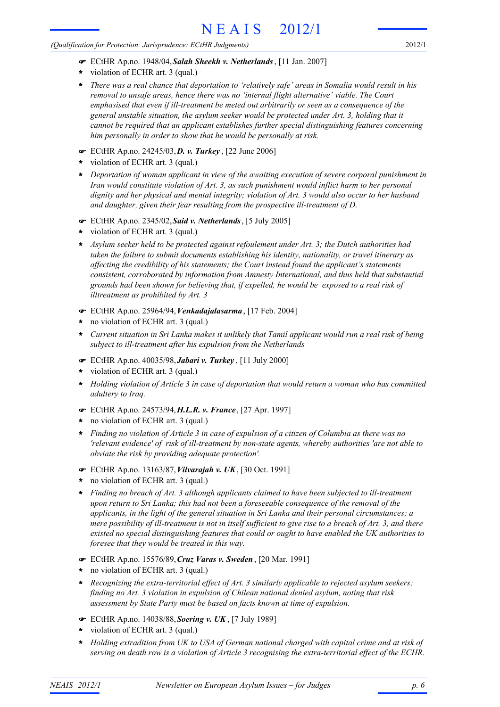*(Qualification for Protection: Jurisprudence: ECtHR Judgments)*

- ! ECtHR Ap.no. 1948/04,*Salah Sheekh v. Netherlands*, [11 Jan. 2007]
- violation of ECHR art. 3 (qual.) **\***
- *There was a real chance that deportation to 'relatively safe' areas in Somalia would result in his removal to unsafe areas, hence there was no 'internal flight alternative' viable. The Court emphasised that even if ill-treatment be meted out arbitrarily or seen as a consequence of the general unstable situation, the asylum seeker would be protected under Art. 3, holding that it cannot be required that an applicant establishes further special distinguishing features concerning him personally in order to show that he would be personally at risk.* **\***
- ! ECtHR Ap.no. 24245/03,*D. v. Turkey* , [22 June 2006]
- violation of ECHR art. 3 (qual.) **\***
- *Deportation of woman applicant in view of the awaiting execution of severe corporal punishment in* **\*** *Iran would constitute violation of Art. 3, as such punishment would inflict harm to her personal dignity and her physical and mental integrity; violation of Art. 3 would also occur to her husband and daughter, given their fear resulting from the prospective ill-treatment of D.*
- ! ECtHR Ap.no. 2345/02,*Said v. Netherlands*, [5 July 2005]
- violation of ECHR art. 3 (qual.) **\***
- *Asylum seeker held to be protected against refoulement under Art. 3; the Dutch authorities had taken the failure to submit documents establishing his identity, nationality, or travel itinerary as affecting the credibility of his statements; the Court instead found the applicant's statements consistent, corroborated by information from Amnesty International, and thus held that substantial grounds had been shown for believing that, if expelled, he would be exposed to a real risk of illtreatment as prohibited by Art. 3* **\***
- ! ECtHR Ap.no. 25964/94,*Venkadajalasarma*, [17 Feb. 2004]
- no violation of ECHR art. 3 (qual.) **\***
- *Current situation in Sri Lanka makes it unlikely that Tamil applicant would run a real risk of being subject to ill-treatment after his expulsion from the Netherlands* **\***
- ! ECtHR Ap.no. 40035/98,*Jabari v. Turkey* , [11 July 2000]
- violation of ECHR art. 3 (qual.) **\***
- *Holding violation of Article 3 in case of deportation that would return a woman who has committed adultery to Iraq.* **\***
- ! ECtHR Ap.no. 24573/94,*H.L.R. v. France*, [27 Apr. 1997]
- no violation of ECHR art. 3 (qual.) **\***
- *Finding no violation of Article 3 in case of expulsion of a citizen of Columbia as there was no 'relevant evidence' of risk of ill-treatment by non-state agents, whereby authorities 'are not able to obviate the risk by providing adequate protection'.* **\***
- ! ECtHR Ap.no. 13163/87,*Vilvarajah v. UK*, [30 Oct. 1991]
- no violation of ECHR art. 3 (qual.) **\***
- *Finding no breach of Art. 3 although applicants claimed to have been subjected to ill-treatment upon return to Sri Lanka; this had not been a foreseeable consequence of the removal of the applicants, in the light of the general situation in Sri Lanka and their personal circumstances; a mere possibility of ill-treatment is not in itself sufficient to give rise to a breach of Art. 3, and there existed no special distinguishing features that could or ought to have enabled the UK authorities to foresee that they would be treated in this way.* **\***
- ! ECtHR Ap.no. 15576/89,*Cruz Varas v. Sweden* , [20 Mar. 1991]
- no violation of ECHR art. 3 (qual.) **\***
- *Recognizing the extra-territorial effect of Art. 3 similarly applicable to rejected asylum seekers; finding no Art. 3 violation in expulsion of Chilean national denied asylum, noting that risk assessment by State Party must be based on facts known at time of expulsion.* **\***
- ! ECtHR Ap.no. 14038/88,*Soering v. UK* , [7 July 1989]
- violation of ECHR art. 3 (qual.) **\***
- *Holding extradition from UK to USA of German national charged with capital crime and at risk of serving on death row is a violation of Article 3 recognising the extra-territorial effect of the ECHR.* **\***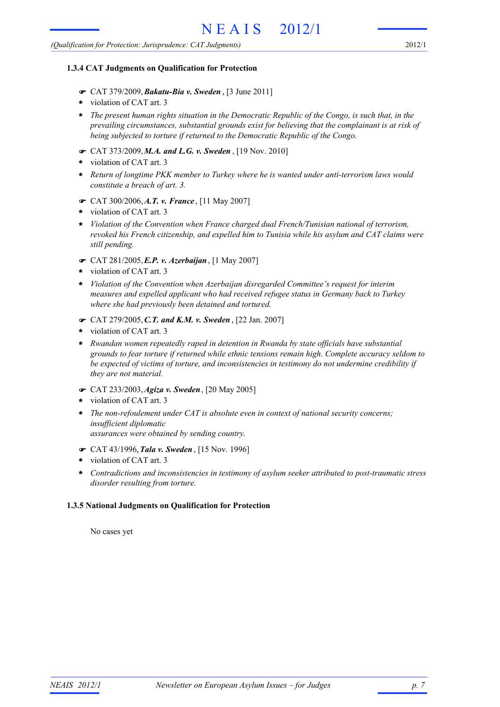#### **1.3.4 CAT Judgments on Qualification for Protection**

- ! CAT 379/2009,*Bakatu-Bia v. Sweden* , [3 June 2011]
- violation of CAT art. 3 **\***
- *The present human rights situation in the Democratic Republic of the Congo, is such that, in the* **\*** *prevailing circumstances, substantial grounds exist for believing that the complainant is at risk of being subjected to torture if returned to the Democratic Republic of the Congo.*
- ! CAT 373/2009,*M.A. and L.G. v. Sweden* , [19 Nov. 2010]
- violation of CAT art. 3 **\***
- *Return of longtime PKK member to Turkey where he is wanted under anti-terrorism laws would* **\*** *constitute a breach of art. 3.*
- ! CAT 300/2006,*A.T. v. France* , [11 May 2007]
- violation of CAT art. 3 **\***
- *Violation of the Convention when France charged dual French/Tunisian national of terrorism, revoked his French citizenship, and expelled him to Tunisia while his asylum and CAT claims were still pending.* **\***
- ! CAT 281/2005,*E.P. v. Azerbaijan*, [1 May 2007]
- violation of CAT art. 3 **\***
- *Violation of the Convention when Azerbaijan disregarded Committee's request for interim measures and expelled applicant who had received refugee status in Germany back to Turkey where she had previously been detained and tortured.* **\***
- ! CAT 279/2005,*C.T. and K.M. v. Sweden* , [22 Jan. 2007]
- violation of CAT art. 3 **\***
- *Rwandan women repeatedly raped in detention in Rwanda by state officials have substantial grounds to fear torture if returned while ethnic tensions remain high. Complete accuracy seldom to be expected of victims of torture, and inconsistencies in testimony do not undermine credibility if they are not material.* **\***
- ! CAT 233/2003,*Agiza v. Sweden*, [20 May 2005]
- violation of CAT art. 3 **\***
- *The non-refoulement under CAT is absolute even in context of national security concerns; insufficient diplomatic assurances were obtained by sending country.* **\***
- ! CAT 43/1996,*Tala v. Sweden* , [15 Nov. 1996]
- violation of CAT art. 3 **\***
- *Contradictions and inconsistencies in testimony of asylum seeker attributed to post-traumatic stress disorder resulting from torture.* **\***

#### **1.3.5 National Judgments on Qualification for Protection**

No cases yet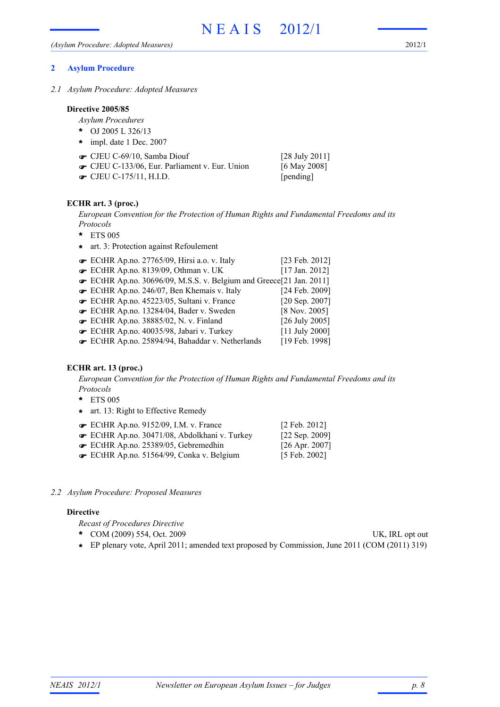2012/1

# **2 Asylum Procedure**

*2.1 Asylum Procedure: Adopted Measures*

## **Directive 2005/85**

- *Asylum Procedures*
- OJ 2005 L 326/13 **\***
- impl. date 1 Dec. 2007 **\***
- $\bullet$  CJEU C-69/10, Samba Diouf [28 July 2011]
- $\bullet$  CJEU C-133/06, Eur. Parliament v. Eur. Union [6 May 2008] **■** CJEU C-175/11, H.I.D. [pending]

# **ECHR art. 3 (proc.)**

*European Convention for the Protection of Human Rights and Fundamental Freedoms and its Protocols*

- ETS 005 **\***
- **\*** art. 3: Protection against Refoulement

| ECtHR Ap.no. 27765/09, Hirsi a.o. v. Italy                        | [23 Feb. 2012]       |
|-------------------------------------------------------------------|----------------------|
| ECtHR Ap.no. 8139/09, Othman v. UK                                | $[17$ Jan. 2012]     |
| ECtHR Ap.no. 30696/09, M.S.S. v. Belgium and Greece[21 Jan. 2011] |                      |
| ECtHR Ap.no. 246/07, Ben Khemais v. Italy                         | [24 Feb. 2009]       |
| ECtHR Ap.no. 45223/05, Sultani v. France                          | [ $20$ Sep. $2007$ ] |
| ECtHR Ap.no. 13284/04, Bader v. Sweden                            | $[8$ Nov. 2005]      |
| ECtHR Ap.no. 38885/02, N. v. Finland                              | [26 July 2005]       |
| ECtHR Ap.no. 40035/98, Jabari v. Turkey                           | $[11$ July 2000]     |
| ECtHR Ap.no. 25894/94, Bahaddar v. Netherlands                    | [19 Feb. 1998]       |

# **ECHR art. 13 (proc.)**

*European Convention for the Protection of Human Rights and Fundamental Freedoms and its Protocols*

- ETS 005 **\***
- **\*** art. 13: Right to Effective Remedy

| $\bullet$ ECtHR Ap.no. 9152/09, I.M. v. France | $[2 \text{ Feb. } 2012]$ |
|------------------------------------------------|--------------------------|
| ECtHR Ap.no. 30471/08, Abdolkhani v. Turkey    | [ $22$ Sep. $2009$ ]     |
| ECtHR Ap.no. 25389/05, Gebremedhin             | $[26$ Apr. 2007]         |
| ECtHR Ap.no. 51564/99, Conka v. Belgium        | [5 Feb. 2002]            |
|                                                |                          |

# *2.2 Asylum Procedure: Proposed Measures*

# **Directive**

*Recast of Procedures Directive*

- COM (2009) 554, Oct. 2009 UK, IRL opt out **\***
- **\*** EP plenary vote, April 2011; amended text proposed by Commission, June 2011 (COM (2011) 319)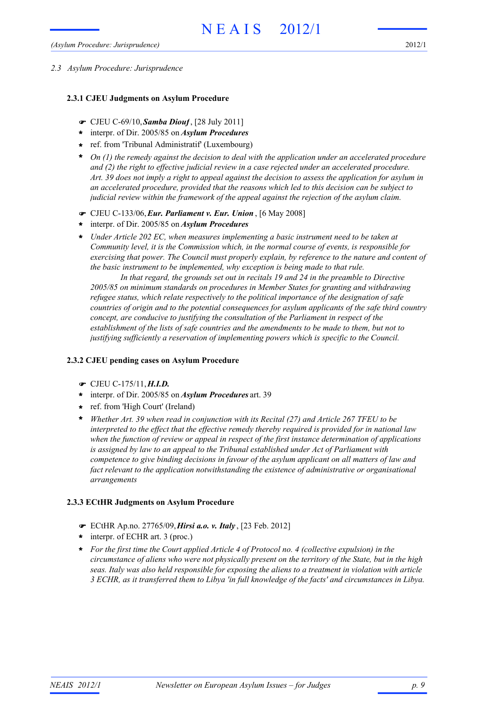#### *2.3 Asylum Procedure: Jurisprudence*

## **2.3.1 CJEU Judgments on Asylum Procedure**

- ! CJEU C-69/10,*Samba Diouf*, [28 July 2011]
- interpr. of Dir. 2005/85 on *Asylum Procedures* **\***
- ref. from 'Tribunal Administratif' (Luxembourg) **\***
- *On (1) the remedy against the decision to deal with the application under an accelerated procedure* **\*** *and (2) the right to effective judicial review in a case rejected under an accelerated procedure. Art. 39 does not imply a right to appeal against the decision to assess the application for asylum in an accelerated procedure, provided that the reasons which led to this decision can be subject to judicial review within the framework of the appeal against the rejection of the asylum claim.*
- ! CJEU C-133/06,*Eur. Parliament v. Eur. Union* , [6 May 2008]
- interpr. of Dir. 2005/85 on *Asylum Procedures* **\***
- *Under Article 202 EC, when measures implementing a basic instrument need to be taken at* **\*** *Community level, it is the Commission which, in the normal course of events, is responsible for exercising that power. The Council must properly explain, by reference to the nature and content of the basic instrument to be implemented, why exception is being made to that rule.*

*In that regard, the grounds set out in recitals 19 and 24 in the preamble to Directive 2005/85 on minimum standards on procedures in Member States for granting and withdrawing refugee status, which relate respectively to the political importance of the designation of safe countries of origin and to the potential consequences for asylum applicants of the safe third country concept, are conducive to justifying the consultation of the Parliament in respect of the establishment of the lists of safe countries and the amendments to be made to them, but not to justifying sufficiently a reservation of implementing powers which is specific to the Council.*

# **2.3.2 CJEU pending cases on Asylum Procedure**

- ! CJEU C-175/11,*H.I.D.*
- interpr. of Dir. 2005/85 on *Asylum Procedures* art. 39 **\***
- ref. from 'High Court' (Ireland) **\***
- *Whether Art. 39 when read in conjunction with its Recital (27) and Article 267 TFEU to be interpreted to the effect that the effective remedy thereby required is provided for in national law when the function of review or appeal in respect of the first instance determination of applications is assigned by law to an appeal to the Tribunal established under Act of Parliament with competence to give binding decisions in favour of the asylum applicant on all matters of law and fact relevant to the application notwithstanding the existence of administrative or organisational arrangements* **\***

# **2.3.3 ECtHR Judgments on Asylum Procedure**

- ! ECtHR Ap.no. 27765/09,*Hirsi a.o. v. Italy* , [23 Feb. 2012]
- interpr. of ECHR art. 3 (proc.) **\***
- *For the first time the Court applied Article 4 of Protocol no. 4 (collective expulsion) in the* **\*** *circumstance of aliens who were not physically present on the territory of the State, but in the high seas. Italy was also held responsible for exposing the aliens to a treatment in violation with article 3 ECHR, as it transferred them to Libya 'in full knowledge of the facts' and circumstances in Libya.*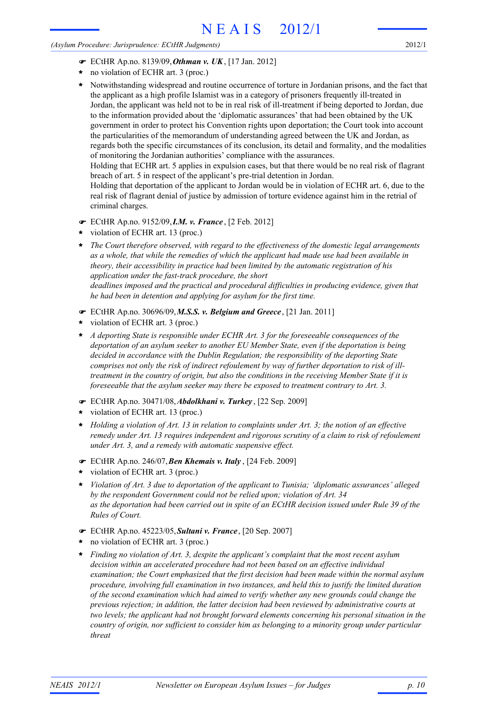#### *(Asylum Procedure: Jurisprudence: ECtHR Judgments)*

2012/1

- ! ECtHR Ap.no. 8139/09,*Othman v. UK*, [17 Jan. 2012]
- no violation of ECHR art. 3 (proc.) **\***
- Notwithstanding widespread and routine occurrence of torture in Jordanian prisons, and the fact that the applicant as a high profile Islamist was in a category of prisoners frequently ill-treated in Jordan, the applicant was held not to be in real risk of ill-treatment if being deported to Jordan, due to the information provided about the 'diplomatic assurances' that had been obtained by the UK government in order to protect his Convention rights upon deportation; the Court took into account the particularities of the memorandum of understanding agreed between the UK and Jordan, as regards both the specific circumstances of its conclusion, its detail and formality, and the modalities of monitoring the Jordanian authorities' compliance with the assurances. Holding that ECHR art. 5 applies in expulsion cases, but that there would be no real risk of flagrant **\***

breach of art. 5 in respect of the applicant's pre-trial detention in Jordan.

Holding that deportation of the applicant to Jordan would be in violation of ECHR art. 6, due to the real risk of flagrant denial of justice by admission of torture evidence against him in the retrial of criminal charges.

- ! ECtHR Ap.no. 9152/09,*I.M. v. France* , [2 Feb. 2012]
- violation of ECHR art. 13 (proc.) **\***
- *The Court therefore observed, with regard to the effectiveness of the domestic legal arrangements as a whole, that while the remedies of which the applicant had made use had been available in theory, their accessibility in practice had been limited by the automatic registration of his application under the fast-track procedure, the short deadlines imposed and the practical and procedural difficulties in producing evidence, given that he had been in detention and applying for asylum for the first time.* **\***
- ! ECtHR Ap.no. 30696/09,*M.S.S. v. Belgium and Greece* , [21 Jan. 2011]
- violation of ECHR art. 3 (proc.) **\***
- *A deporting State is responsible under ECHR Art. 3 for the foreseeable consequences of the deportation of an asylum seeker to another EU Member State, even if the deportation is being decided in accordance with the Dublin Regulation; the responsibility of the deporting State comprises not only the risk of indirect refoulement by way of further deportation to risk of illtreatment in the country of origin, but also the conditions in the receiving Member State if it is foreseeable that the asylum seeker may there be exposed to treatment contrary to Art. 3.* **\***
- ! ECtHR Ap.no. 30471/08,*Abdolkhani v. Turkey* , [22 Sep. 2009]
- violation of ECHR art. 13 (proc.) **\***
- *Holding a violation of Art. 13 in relation to complaints under Art. 3; the notion of an effective* **\*** *remedy under Art. 13 requires independent and rigorous scrutiny of a claim to risk of refoulement under Art. 3, and a remedy with automatic suspensive effect.*
- ! ECtHR Ap.no. 246/07,*Ben Khemais v. Italy* , [24 Feb. 2009]
- violation of ECHR art. 3 (proc.) **\***
- *Violation of Art. 3 due to deportation of the applicant to Tunisia; 'diplomatic assurances' alleged by the respondent Government could not be relied upon; violation of Art. 34 as the deportation had been carried out in spite of an ECtHR decision issued under Rule 39 of the Rules of Court.* **\***
- ! ECtHR Ap.no. 45223/05,*Sultani v. France*, [20 Sep. 2007]
- no violation of ECHR art. 3 (proc.) **\***
- *Finding no violation of Art. 3, despite the applicant's complaint that the most recent asylum* **\*** *decision within an accelerated procedure had not been based on an effective individual examination; the Court emphasized that the first decision had been made within the normal asylum procedure, involving full examination in two instances, and held this to justify the limited duration of the second examination which had aimed to verify whether any new grounds could change the previous rejection; in addition, the latter decision had been reviewed by administrative courts at two levels; the applicant had not brought forward elements concerning his personal situation in the country of origin, nor sufficient to consider him as belonging to a minority group under particular threat*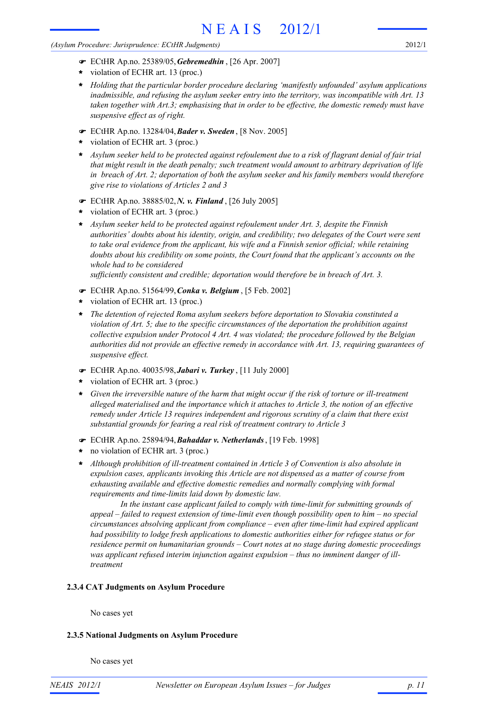#### *(Asylum Procedure: Jurisprudence: ECtHR Judgments)*

2012/1

- ! ECtHR Ap.no. 25389/05,*Gebremedhin* , [26 Apr. 2007]
- violation of ECHR art. 13 (proc.) **\***
- *Holding that the particular border procedure declaring 'manifestly unfounded' asylum applications inadmissible, and refusing the asylum seeker entry into the territory, was incompatible with Art. 13 taken together with Art.3; emphasising that in order to be effective, the domestic remedy must have suspensive effect as of right.* **\***
- ! ECtHR Ap.no. 13284/04,*Bader v. Sweden* , [8 Nov. 2005]
- violation of ECHR art. 3 (proc.) **\***
- *Asylum seeker held to be protected against refoulement due to a risk of flagrant denial of fair trial that might result in the death penalty; such treatment would amount to arbitrary deprivation of life in breach of Art. 2; deportation of both the asylum seeker and his family members would therefore give rise to violations of Articles 2 and 3* **\***
- ! ECtHR Ap.no. 38885/02,*N. v. Finland* , [26 July 2005]
- violation of ECHR art. 3 (proc.) **\***
- *Asylum seeker held to be protected against refoulement under Art. 3, despite the Finnish authorities' doubts about his identity, origin, and credibility; two delegates of the Court were sent to take oral evidence from the applicant, his wife and a Finnish senior official; while retaining doubts about his credibility on some points, the Court found that the applicant's accounts on the whole had to be considered* **\***

*sufficiently consistent and credible; deportation would therefore be in breach of Art. 3.*

- ! ECtHR Ap.no. 51564/99,*Conka v. Belgium* , [5 Feb. 2002]
- violation of ECHR art. 13 (proc.) **\***
- *The detention of rejected Roma asylum seekers before deportation to Slovakia constituted a violation of Art. 5; due to the specific circumstances of the deportation the prohibition against collective expulsion under Protocol 4 Art. 4 was violated; the procedure followed by the Belgian authorities did not provide an effective remedy in accordance with Art. 13, requiring guarantees of suspensive effect.* **\***
- ! ECtHR Ap.no. 40035/98,*Jabari v. Turkey* , [11 July 2000]
- violation of ECHR art. 3 (proc.) **\***
- *Given the irreversible nature of the harm that might occur if the risk of torture or ill-treatment alleged materialised and the importance which it attaches to Article 3, the notion of an effective remedy under Article 13 requires independent and rigorous scrutiny of a claim that there exist substantial grounds for fearing a real risk of treatment contrary to Article 3* **\***
- ! ECtHR Ap.no. 25894/94,*Bahaddar v. Netherlands*, [19 Feb. 1998]
- no violation of ECHR art. 3 (proc.) **\***
- *Although prohibition of ill-treatment contained in Article 3 of Convention is also absolute in expulsion cases, applicants invoking this Article are not dispensed as a matter of course from exhausting available and effective domestic remedies and normally complying with formal requirements and time-limits laid down by domestic law.* **\***

*In the instant case applicant failed to comply with time-limit for submitting grounds of appeal – failed to request extension of time-limit even though possibility open to him – no special circumstances absolving applicant from compliance – even after time-limit had expired applicant had possibility to lodge fresh applications to domestic authorities either for refugee status or for residence permit on humanitarian grounds – Court notes at no stage during domestic proceedings was applicant refused interim injunction against expulsion – thus no imminent danger of illtreatment*

# **2.3.4 CAT Judgments on Asylum Procedure**

No cases yet

# **2.3.5 National Judgments on Asylum Procedure**

No cases yet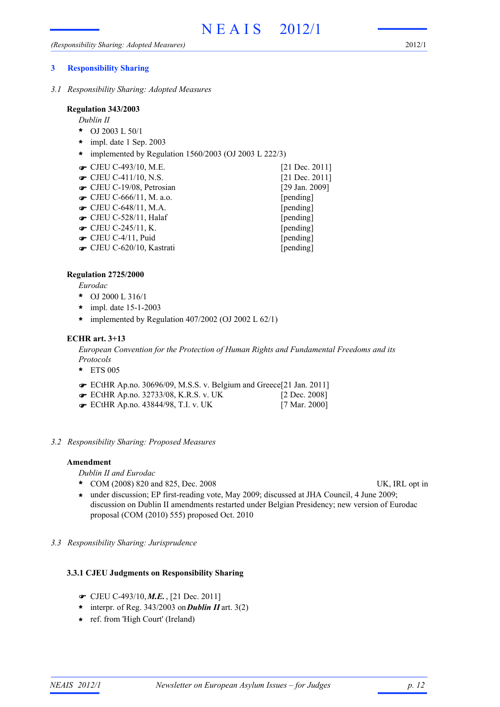## **3 Responsibility Sharing**

*3.1 Responsibility Sharing: Adopted Measures*

#### **Regulation 343/2003**

*Dublin II*

- OJ 2003 L 50/1 **\***
- impl. date 1 Sep. 2003 **\***
- **\*** implemented by Regulation 1560/2003 (OJ 2003 L 222/3)
- **■** CJEU C-493/10, M.E. [21 Dec. 2011]
- **■** CJEU C-411/10, N.S. [21 Dec. 2011]
- **■** CJEU C-19/08, Petrosian [29 Jan. 2009]
- **The CJEU C-666/11, M. a.o.** [pending]
- **The CJEU C-648/11, M.A.** [pending]
- CJEU C-528/11, Halaf [pending]
- **•** CJEU C-245/11, K. [pending]
- CJEU C-4/11, Puid [pending]
- CJEU C-620/10, Kastrati [pending]

# **Regulation 2725/2000**

*Eurodac*

- OJ 2000 L 316/1 **\***
- impl. date 15-1-2003 **\***
- **\*** implemented by Regulation 407/2002 (OJ 2002 L 62/1)

# **ECHR art. 3+13**

*European Convention for the Protection of Human Rights and Fundamental Freedoms and its Protocols*

- ETS 005 **\***
- ECtHR Ap.no. 30696/09, M.S.S. v. Belgium and Greece[21 Jan. 2011] !
- **■** ECtHR Ap.no. 32733/08, K.R.S. v. UK [2 Dec. 2008]
- ECtHR Ap.no. 43844/98, T.I. v. UK [7 Mar. 2000] !
- *3.2 Responsibility Sharing: Proposed Measures*

# **Amendment**

*Dublin II and Eurodac*

- \* COM (2008) 820 and 825, Dec. 2008 UK, IRL opt in
	-
- under discussion; EP first-reading vote, May 2009; discussed at JHA Council, 4 June 2009; **\*** discussion on Dublin II amendments restarted under Belgian Presidency; new version of Eurodac proposal (COM (2010) 555) proposed Oct. 2010
- *3.3 Responsibility Sharing: Jurisprudence*

# **3.3.1 CJEU Judgments on Responsibility Sharing**

- ! CJEU C-493/10,*M.E.* , [21 Dec. 2011]
- $*$  interpr. of Reg. 343/2003 on **Dublin II** art. 3(2)
- ref. from 'High Court' (Ireland) **\***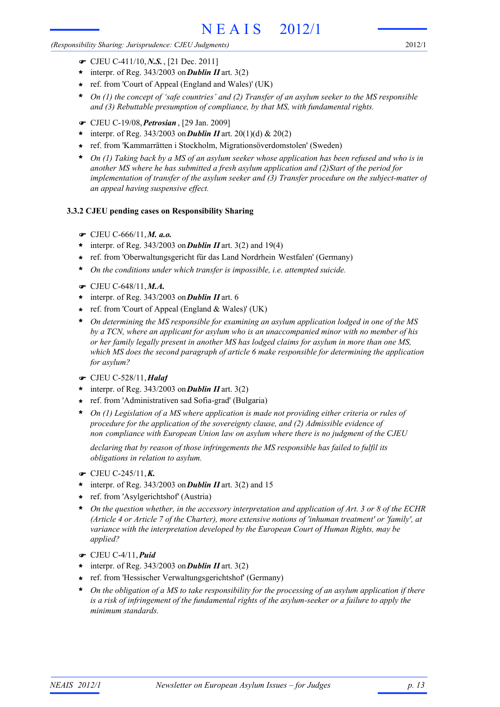*(Responsibility Sharing: Jurisprudence: CJEU Judgments)*

- ! CJEU C-411/10,*N.S.*, [21 Dec. 2011]
- \* interpr. of Reg. 343/2003 on **Dublin II** art. 3(2)
- ref. from 'Court of Appeal (England and Wales)' (UK) **\***
- *On (1) the concept of 'safe countries' and (2) Transfer of an asylum seeker to the MS responsible and (3) Rebuttable presumption of compliance, by that MS, with fundamental rights.* **\***
- ! CJEU C-19/08,*Petrosian* , [29 Jan. 2009]
- \* interpr. of Reg. 343/2003 on **Dublin II** art. 20(1)(d) & 20(2)
- ref. from 'Kammarrätten i Stockholm, Migrationsöverdomstolen' (Sweden) **\***
- *On (1) Taking back by a MS of an asylum seeker whose application has been refused and who is in another MS where he has submitted a fresh asylum application and (2)Start of the period for implementation of transfer of the asylum seeker and (3) Transfer procedure on the subject-matter of an appeal having suspensive effect.* **\***

# **3.3.2 CJEU pending cases on Responsibility Sharing**

- ! CJEU C-666/11,*M. a.o.*
- interpr. of Reg. 343/2003 on*Dublin II* art. 3(2) and 19(4) **\***
- ref. from 'Oberwaltungsgericht für das Land Nordrhein Westfalen' (Germany) **\***
- *On the conditions under which transfer is impossible, i.e. attempted suicide.* **\***
- ! CJEU C-648/11,*M.A.*
- \* interpr. of Reg. 343/2003 on **Dublin II** art. 6
- ref. from 'Court of Appeal (England & Wales)' (UK) **\***
- *On determining the MS responsible for examining an asylum application lodged in one of the MS* **\*** *by a TCN, where an applicant for asylum who is an unaccompanied minor with no member of his or her family legally present in another MS has lodged claims for asylum in more than one MS, which MS does the second paragraph of article 6 make responsible for determining the application for asylum?*
- ! CJEU C-528/11,*Halaf*
- interpr. of Reg. 343/2003 on*Dublin II* art. 3(2) **\***
- ref. from 'Administrativen sad Sofia-grad' (Bulgaria) **\***
- *On (1) Legislation of a MS where application is made not providing either criteria or rules of procedure for the application of the sovereignty clause, and (2) Admissible evidence of non compliance with European Union law on asylum where there is no judgment of the CJEU* **\***

*declaring that by reason of those infringements the MS responsible has failed to fulfil its obligations in relation to asylum.*

- $\bullet$  CJEU C-245/11, **K.**
- \* interpr. of Reg. 343/2003 on **Dublin II** art. 3(2) and 15
- ref. from 'Asylgerichtshof' (Austria) **\***
- *On the question whether, in the accessory interpretation and application of Art. 3 or 8 of the ECHR (Article 4 or Article 7 of the Charter), more extensive notions of 'inhuman treatment' or 'family', at variance with the interpretation developed by the European Court of Human Rights, may be applied?* **\***
- ! CJEU C-4/11,*Puid*
- interpr. of Reg. 343/2003 on*Dublin II* art. 3(2) **\***
- ref. from 'Hessischer Verwaltungsgerichtshof' (Germany) **\***
- *On the obligation of a MS to take responsibility for the processing of an asylum application if there is a risk of infringement of the fundamental rights of the asylum-seeker or a failure to apply the minimum standards.* **\***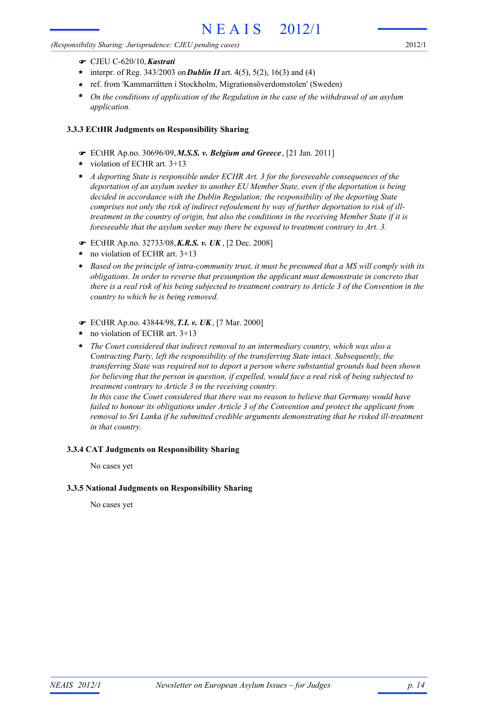#### *(Responsibility Sharing: Jurisprudence: CJEU pending cases)*

- ! CJEU C-620/10,*Kastrati*
- $\star$  interpr. of Reg. 343/2003 on **Dublin II** art. 4(5), 5(2), 16(3) and (4)
- ref. from 'Kammarrätten i Stockholm, Migrationsöverdomstolen' (Sweden) **\***
- *On the conditions of application of the Regulation in the case of the withdrawal of an asylum application.* **\***

# **3.3.3 ECtHR Judgments on Responsibility Sharing**

- ! ECtHR Ap.no. 30696/09,*M.S.S. v. Belgium and Greece* , [21 Jan. 2011]
- violation of ECHR art. 3+13 **\***
- *A deporting State is responsible under ECHR Art. 3 for the foreseeable consequences of the* **\*** *deportation of an asylum seeker to another EU Member State, even if the deportation is being decided in accordance with the Dublin Regulation; the responsibility of the deporting State comprises not only the risk of indirect refoulement by way of further deportation to risk of illtreatment in the country of origin, but also the conditions in the receiving Member State if it is foreseeable that the asylum seeker may there be exposed to treatment contrary to Art. 3.*
- ! ECtHR Ap.no. 32733/08,*K.R.S. v. UK* , [2 Dec. 2008]
- no violation of ECHR art. 3+13 **\***
- *Based on the principle of intra-community trust, it must be presumed that a MS will comply with its obligations. In order to reverse that presumption the applicant must demonstrate in concreto that there is a real risk of his being subjected to treatment contrary to Article 3 of the Convention in the country to which he is being removed.* **\***
- ! ECtHR Ap.no. 43844/98,*T.I. v. UK*, [7 Mar. 2000]
- no violation of ECHR art. 3+13 **\***
- *The Court considered that indirect removal to an intermediary country, which was also a Contracting Party, left the responsibility of the transferring State intact. Subsequently, the transferring State was required not to deport a person where substantial grounds had been shown for believing that the person in question, if expelled, would face a real risk of being subjected to treatment contrary to Article 3 in the receiving country. In this case the Court considered that there was no reason to believe that Germany would have* **\***

*failed to honour its obligations under Article 3 of the Convention and protect the applicant from removal to Sri Lanka if he submitted credible arguments demonstrating that he risked ill-treatment in that country.*

# **3.3.4 CAT Judgments on Responsibility Sharing**

No cases yet

# **3.3.5 National Judgments on Responsibility Sharing**

No cases yet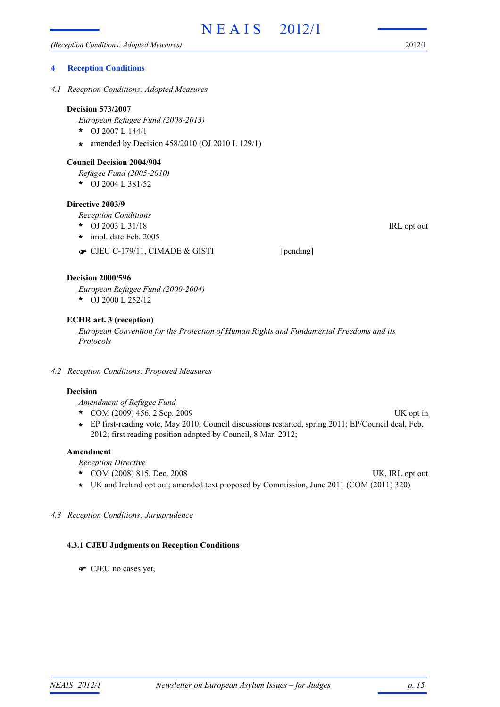#### **4 Reception Conditions**

*4.1 Reception Conditions: Adopted Measures*

#### **Decision 573/2007**

*European Refugee Fund (2008-2013)*

- OJ 2007 L 144/1 **\***
- amended by Decision 458/2010 (OJ 2010 L 129/1) **\***

#### **Council Decision 2004/904**

*Refugee Fund (2005-2010)*

OJ 2004 L 381/52 **\***

#### **Directive 2003/9**

*Reception Conditions*

- \* OJ 2003 L 31/18 IRL opt out
- impl. date Feb. 2005 **\***
- CJEU C-179/11, CIMADE & GISTI [pending]

#### **Decision 2000/596**

*European Refugee Fund (2000-2004)*

OJ 2000 L 252/12 **\***

# **ECHR art. 3 (reception)**

*European Convention for the Protection of Human Rights and Fundamental Freedoms and its Protocols*

*4.2 Reception Conditions: Proposed Measures*

# **Decision**

*Amendment of Refugee Fund*

- COM (2009) 456, 2 Sep. 2009 UK opt in **\***
- EP first-reading vote, May 2010; Council discussions restarted, spring 2011; EP/Council deal, Feb. **\*** 2012; first reading position adopted by Council, 8 Mar. 2012;

## **Amendment**

*Reception Directive*

- \* COM (2008) 815, Dec. 2008 UK, IRL opt out
- **\*** UK and Ireland opt out; amended text proposed by Commission, June 2011 (COM (2011) 320)

#### *4.3 Reception Conditions: Jurisprudence*

#### **4.3.1 CJEU Judgments on Reception Conditions**

! CJEU no cases yet,